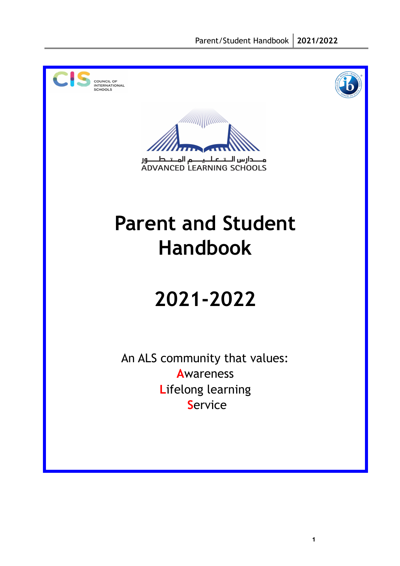



**1**



مــــدارس الــتــعـلــيـــــم المــتــطــــور<br>ADVANCED LEARNING SCHOOLS

# **Parent and Student Handbook**

# **2021-2022**

An ALS community that values: **A**wareness **L**ifelong learning **S**ervice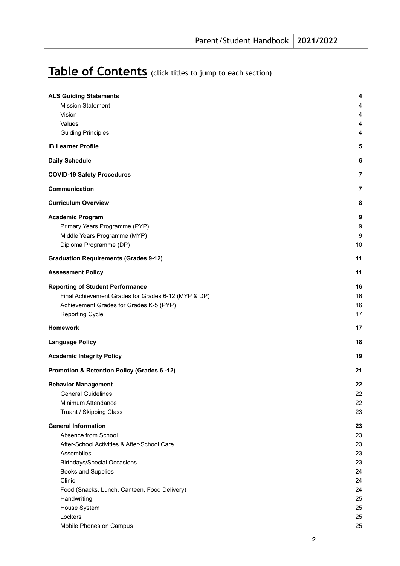# Table of Contents (click titles to jump to each section)

| <b>ALS Guiding Statements</b>                       | 4  |
|-----------------------------------------------------|----|
| <b>Mission Statement</b>                            | 4  |
| Vision                                              | 4  |
| Values                                              | 4  |
| <b>Guiding Principles</b>                           | 4  |
|                                                     |    |
| <b>IB Learner Profile</b>                           | 5  |
| <b>Daily Schedule</b>                               | 6  |
| <b>COVID-19 Safety Procedures</b>                   | 7  |
| Communication                                       | 7  |
| <b>Curriculum Overview</b>                          | 8  |
| <b>Academic Program</b>                             | 9  |
| Primary Years Programme (PYP)                       | 9  |
| Middle Years Programme (MYP)                        | 9  |
| Diploma Programme (DP)                              | 10 |
|                                                     |    |
| <b>Graduation Requirements (Grades 9-12)</b>        | 11 |
| <b>Assessment Policy</b>                            | 11 |
| <b>Reporting of Student Performance</b>             | 16 |
| Final Achievement Grades for Grades 6-12 (MYP & DP) | 16 |
| Achievement Grades for Grades K-5 (PYP)             | 16 |
| <b>Reporting Cycle</b>                              | 17 |
| <b>Homework</b>                                     | 17 |
| <b>Language Policy</b>                              | 18 |
| <b>Academic Integrity Policy</b>                    | 19 |
| Promotion & Retention Policy (Grades 6 -12)         | 21 |
| <b>Behavior Management</b>                          | 22 |
| <b>General Guidelines</b>                           | 22 |
| Minimum Attendance                                  | 22 |
| Truant / Skipping Class                             | 23 |
| <b>General Information</b>                          | 23 |
| Absence from School                                 | 23 |
| After-School Activities & After-School Care         | 23 |
| Assemblies                                          | 23 |
| <b>Birthdays/Special Occasions</b>                  | 23 |
| Books and Supplies                                  | 24 |
| Clinic                                              | 24 |
| Food (Snacks, Lunch, Canteen, Food Delivery)        | 24 |
| Handwriting                                         | 25 |
| House System                                        | 25 |
| Lockers                                             | 25 |
| Mobile Phones on Campus                             | 25 |
|                                                     |    |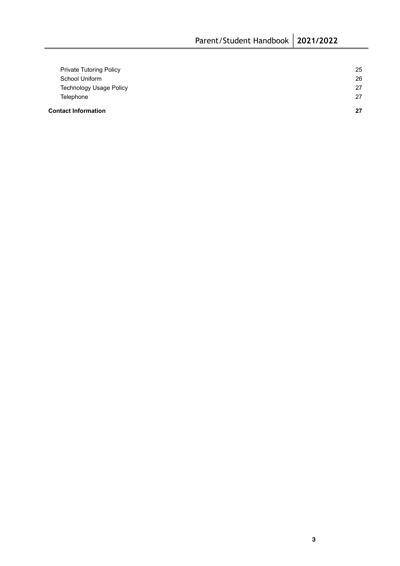| <b>Contact Information</b>     | 27 |
|--------------------------------|----|
| Telephone                      | 27 |
| <b>Technology Usage Policy</b> | 27 |
| School Uniform                 | 26 |
| <b>Private Tutoring Policy</b> | 25 |
|                                |    |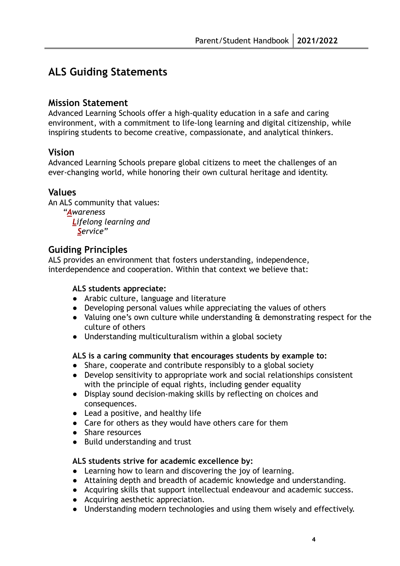# <span id="page-3-0"></span>**ALS Guiding Statements**

## <span id="page-3-1"></span>**Mission Statement**

Advanced Learning Schools offer a high-quality education in a safe and caring environment, with a commitment to life-long learning and digital citizenship, while inspiring students to become creative, compassionate, and analytical thinkers.

# <span id="page-3-2"></span>**Vision**

Advanced Learning Schools prepare global citizens to meet the challenges of an ever-changing world, while honoring their own cultural heritage and identity.

# <span id="page-3-3"></span>**Values**

An ALS community that values:

*"Awareness Lifelong learning and Service"*

# <span id="page-3-4"></span>**Guiding Principles**

ALS provides an environment that fosters understanding, independence, interdependence and cooperation. Within that context we believe that:

#### **ALS students appreciate:**

- Arabic culture, language and literature
- Developing personal values while appreciating the values of others
- Valuing one's own culture while understanding & demonstrating respect for the culture of others
- Understanding multiculturalism within a global society

#### **ALS is a caring community that encourages students by example to:**

- Share, cooperate and contribute responsibly to a global society
- Develop sensitivity to appropriate work and social relationships consistent with the principle of equal rights, including gender equality
- Display sound decision-making skills by reflecting on choices and consequences.
- Lead a positive, and healthy life
- Care for others as they would have others care for them
- Share resources
- Build understanding and trust

#### **ALS students strive for academic excellence by:**

- Learning how to learn and discovering the joy of learning.
- Attaining depth and breadth of academic knowledge and understanding.
- Acquiring skills that support intellectual endeavour and academic success.
- Acquiring aesthetic appreciation.
- Understanding modern technologies and using them wisely and effectively.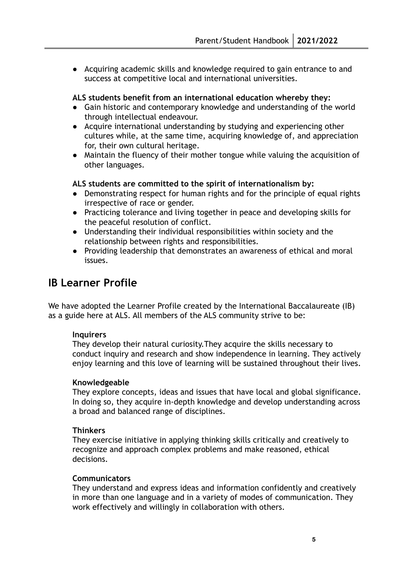● Acquiring academic skills and knowledge required to gain entrance to and success at competitive local and international universities.

#### **ALS students benefit from an international education whereby they:**

- Gain historic and contemporary knowledge and understanding of the world through intellectual endeavour.
- Acquire international understanding by studying and experiencing other cultures while, at the same time, acquiring knowledge of, and appreciation for, their own cultural heritage.
- Maintain the fluency of their mother tongue while valuing the acquisition of other languages.

#### **ALS students are committed to the spirit of internationalism by:**

- Demonstrating respect for human rights and for the principle of equal rights irrespective of race or gender.
- Practicing tolerance and living together in peace and developing skills for the peaceful resolution of conflict.
- Understanding their individual responsibilities within society and the relationship between rights and responsibilities.
- Providing leadership that demonstrates an awareness of ethical and moral issues.

# <span id="page-4-0"></span>**IB Learner Profile**

We have adopted the Learner Profile created by the International Baccalaureate (IB) as a guide here at ALS. All members of the ALS community strive to be:

#### **Inquirers**

They develop their natural curiosity.They acquire the skills necessary to conduct inquiry and research and show independence in learning. They actively enjoy learning and this love of learning will be sustained throughout their lives.

#### **Knowledgeable**

They explore concepts, ideas and issues that have local and global significance. In doing so, they acquire in-depth knowledge and develop understanding across a broad and balanced range of disciplines.

#### **Thinkers**

They exercise initiative in applying thinking skills critically and creatively to recognize and approach complex problems and make reasoned, ethical decisions.

#### **Communicators**

They understand and express ideas and information confidently and creatively in more than one language and in a variety of modes of communication. They work effectively and willingly in collaboration with others.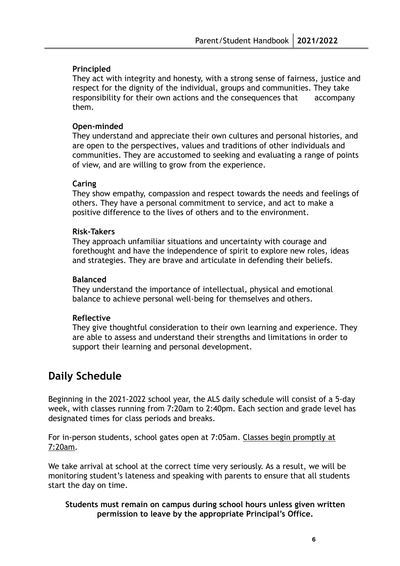#### **Principled**

They act with integrity and honesty, with a strong sense of fairness, justice and respect for the dignity of the individual, groups and communities. They take responsibility for their own actions and the consequences that accompany them.

#### **Open-minded**

They understand and appreciate their own cultures and personal histories, and are open to the perspectives, values and traditions of other individuals and communities. They are accustomed to seeking and evaluating a range of points of view, and are willing to grow from the experience.

#### **Caring**

They show empathy, compassion and respect towards the needs and feelings of others. They have a personal commitment to service, and act to make a positive difference to the lives of others and to the environment.

#### **Risk-Takers**

They approach unfamiliar situations and uncertainty with courage and forethought and have the independence of spirit to explore new roles, ideas and strategies. They are brave and articulate in defending their beliefs.

#### **Balanced**

They understand the importance of intellectual, physical and emotional balance to achieve personal well-being for themselves and others.

#### **Reflective**

They give thoughtful consideration to their own learning and experience. They are able to assess and understand their strengths and limitations in order to support their learning and personal development.

# <span id="page-5-0"></span>**Daily Schedule**

Beginning in the 2021-2022 school year, the ALS daily schedule will consist of a 5-day week, with classes running from 7:20am to 2:40pm. Each section and grade level has designated times for class periods and breaks.

For in-person students, school gates open at 7:05am. Classes begin promptly at 7:20am.

We take arrival at school at the correct time very seriously. As a result, we will be monitoring student's lateness and speaking with parents to ensure that all students start the day on time.

#### **Students must remain on campus during school hours unless given written permission to leave by the appropriate Principal's Office.**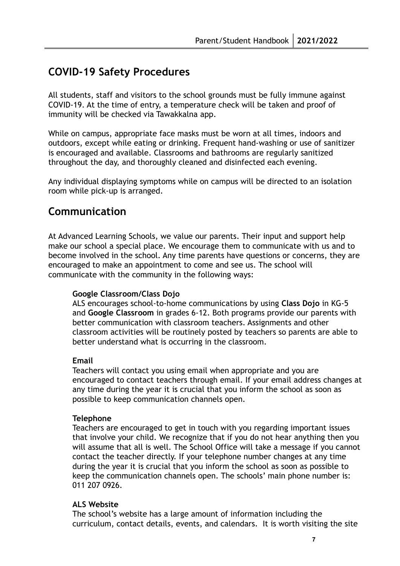# <span id="page-6-0"></span>**COVID-19 Safety Procedures**

All students, staff and visitors to the school grounds must be fully immune against COVID-19. At the time of entry, a temperature check will be taken and proof of immunity will be checked via Tawakkalna app.

While on campus, appropriate face masks must be worn at all times, indoors and outdoors, except while eating or drinking. Frequent hand-washing or use of sanitizer is encouraged and available. Classrooms and bathrooms are regularly sanitized throughout the day, and thoroughly cleaned and disinfected each evening.

Any individual displaying symptoms while on campus will be directed to an isolation room while pick-up is arranged.

# <span id="page-6-1"></span>**Communication**

At Advanced Learning Schools, we value our parents. Their input and support help make our school a special place. We encourage them to communicate with us and to become involved in the school. Any time parents have questions or concerns, they are encouraged to make an appointment to come and see us. The school will communicate with the community in the following ways:

#### **Google Classroom/Class Dojo**

ALS encourages school-to-home communications by using **Class Dojo** in KG-5 and **Google Classroom** in grades 6-12. Both programs provide our parents with better communication with classroom teachers. Assignments and other classroom activities will be routinely posted by teachers so parents are able to better understand what is occurring in the classroom.

#### **Email**

Teachers will contact you using email when appropriate and you are encouraged to contact teachers through email. If your email address changes at any time during the year it is crucial that you inform the school as soon as possible to keep communication channels open.

#### **Telephone**

Teachers are encouraged to get in touch with you regarding important issues that involve your child. We recognize that if you do not hear anything then you will assume that all is well. The School Office will take a message if you cannot contact the teacher directly. If your telephone number changes at any time during the year it is crucial that you inform the school as soon as possible to keep the communication channels open. The schools' main phone number is: 011 207 0926.

#### **ALS Website**

The school's website has a large amount of information including the curriculum, contact details, events, and calendars. It is worth visiting the site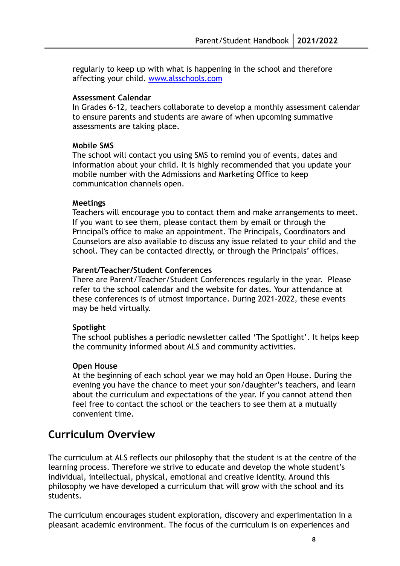regularly to keep up with what is happening in the school and therefore affecting your child. [www.alsschools.com](http://www.alsschools.com)

#### **Assessment Calendar**

In Grades 6-12, teachers collaborate to develop a monthly assessment calendar to ensure parents and students are aware of when upcoming summative assessments are taking place.

#### **Mobile SMS**

The school will contact you using SMS to remind you of events, dates and information about your child. It is highly recommended that you update your mobile number with the Admissions and Marketing Office to keep communication channels open.

#### **Meetings**

Teachers will encourage you to contact them and make arrangements to meet. If you want to see them, please contact them by email or through the Principal's office to make an appointment. The Principals, Coordinators and Counselors are also available to discuss any issue related to your child and the school. They can be contacted directly, or through the Principals' offices.

#### **Parent/Teacher/Student Conferences**

There are Parent/Teacher/Student Conferences regularly in the year. Please refer to the school calendar and the website for dates. Your attendance at these conferences is of utmost importance. During 2021-2022, these events may be held virtually.

#### **Spotlight**

The school publishes a periodic newsletter called 'The Spotlight'. It helps keep the community informed about ALS and community activities.

#### **Open House**

At the beginning of each school year we may hold an Open House. During the evening you have the chance to meet your son/daughter's teachers, and learn about the curriculum and expectations of the year. If you cannot attend then feel free to contact the school or the teachers to see them at a mutually convenient time.

# <span id="page-7-0"></span>**Curriculum Overview**

The curriculum at ALS reflects our philosophy that the student is at the centre of the learning process. Therefore we strive to educate and develop the whole student's individual, intellectual, physical, emotional and creative identity. Around this philosophy we have developed a curriculum that will grow with the school and its students.

The curriculum encourages student exploration, discovery and experimentation in a pleasant academic environment. The focus of the curriculum is on experiences and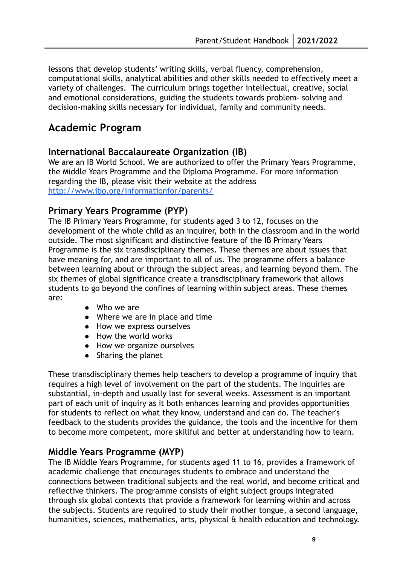lessons that develop students' writing skills, verbal fluency, comprehension, computational skills, analytical abilities and other skills needed to effectively meet a variety of challenges. The curriculum brings together intellectual, creative, social and emotional considerations, guiding the students towards problem- solving and decision-making skills necessary for individual, family and community needs.

# <span id="page-8-0"></span>**Academic Program**

#### **International Baccalaureate Organization (IB)**

We are an IB World School. We are authorized to offer the Primary Years Programme, the Middle Years Programme and the Diploma Programme. For more information regarding the IB, please visit their website at the address <http://www.ibo.org/informationfor/parents/>

#### <span id="page-8-1"></span>**Primary Years Programme (PYP)**

The IB Primary Years Programme, for students aged 3 to 12, focuses on the development of the whole child as an inquirer, both in the classroom and in the world outside. The most significant and distinctive feature of the IB Primary Years Programme is the six transdisciplinary themes. These themes are about issues that have meaning for, and are important to all of us. The programme offers a balance between learning about or through the subject areas, and learning beyond them. The six themes of global significance create a transdisciplinary framework that allows students to go beyond the confines of learning within subject areas. These themes are:

- Who we are
- Where we are in place and time
- How we express ourselves
- How the world works
- How we organize ourselves
- Sharing the planet

These transdisciplinary themes help teachers to develop a programme of inquiry that requires a high level of involvement on the part of the students. The inquiries are substantial, in-depth and usually last for several weeks. Assessment is an important part of each unit of inquiry as it both enhances learning and provides opportunities for students to reflect on what they know, understand and can do. The teacher's feedback to the students provides the guidance, the tools and the incentive for them to become more competent, more skillful and better at understanding how to learn.

## <span id="page-8-2"></span>**Middle Years Programme (MYP)**

The IB Middle Years Programme, for students aged 11 to 16, provides a framework of academic challenge that encourages students to embrace and understand the connections between traditional subjects and the real world, and become critical and reflective thinkers. The programme consists of eight subject groups integrated through six global contexts that provide a framework for learning within and across the subjects. Students are required to study their mother tongue, a second language, humanities, sciences, mathematics, arts, physical & health education and technology.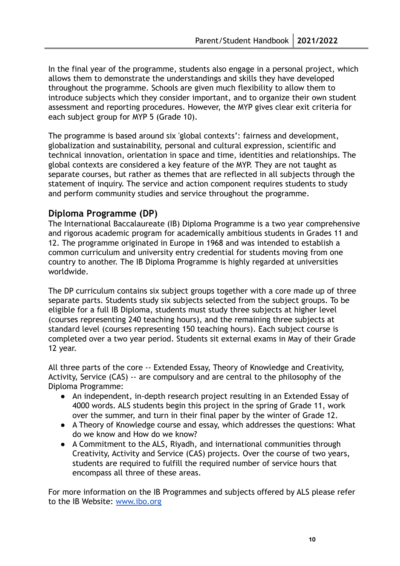In the final year of the programme, students also engage in a personal project, which allows them to demonstrate the understandings and skills they have developed throughout the programme. Schools are given much flexibility to allow them to introduce subjects which they consider important, and to organize their own student assessment and reporting procedures. However, the MYP gives clear exit criteria for each subject group for MYP 5 (Grade 10).

The programme is based around six 'global contexts': fairness and development, globalization and sustainability, personal and cultural expression, scientific and technical innovation, orientation in space and time, identities and relationships. The global contexts are considered a key feature of the MYP. They are not taught as separate courses, but rather as themes that are reflected in all subjects through the statement of inquiry. The service and action component requires students to study and perform community studies and service throughout the programme.

## <span id="page-9-0"></span>**Diploma Programme (DP)**

The International Baccalaureate (IB) Diploma Programme is a two year comprehensive and rigorous academic program for academically ambitious students in Grades 11 and 12. The programme originated in Europe in 1968 and was intended to establish a common curriculum and university entry credential for students moving from one country to another. The IB Diploma Programme is highly regarded at universities worldwide.

The DP curriculum contains six subject groups together with a core made up of three separate parts. Students study six subjects selected from the subject groups. To be eligible for a full IB Diploma, students must study three subjects at higher level (courses representing 240 teaching hours), and the remaining three subjects at standard level (courses representing 150 teaching hours). Each subject course is completed over a two year period. Students sit external exams in May of their Grade 12 year.

All three parts of the core -- Extended Essay, Theory of Knowledge and Creativity, Activity, Service (CAS) -- are compulsory and are central to the philosophy of the Diploma Programme:

- An independent, in-depth research project resulting in an Extended Essay of 4000 words. ALS students begin this project in the spring of Grade 11, work over the summer, and turn in their final paper by the winter of Grade 12.
- A Theory of Knowledge course and essay, which addresses the questions: What do we know and How do we know?
- A Commitment to the ALS, Riyadh, and international communities through Creativity, Activity and Service (CAS) projects. Over the course of two years, students are required to fulfill the required number of service hours that encompass all three of these areas.

For more information on the IB Programmes and subjects offered by ALS please refer to the IB Website: [www.ibo.org](http://www.ibo.org)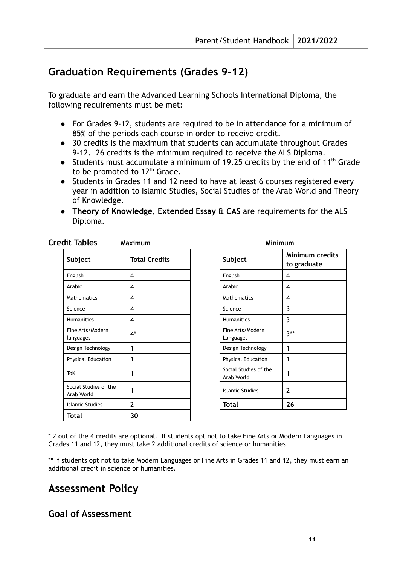# <span id="page-10-0"></span>**Graduation Requirements (Grades 9-12)**

To graduate and earn the Advanced Learning Schools International Diploma, the following requirements must be met:

- For Grades 9-12, students are required to be in attendance for a minimum of 85% of the periods each course in order to receive credit.
- 30 credits is the maximum that students can accumulate throughout Grades 9-12. 26 credits is the minimum required to receive the ALS Diploma.
- Students must accumulate a minimum of 19.25 credits by the end of 11<sup>th</sup> Grade to be promoted to 12<sup>th</sup> Grade.
- Students in Grades 11 and 12 need to have at least 6 courses registered every year in addition to Islamic Studies, Social Studies of the Arab World and Theory of Knowledge.
- **Theory of Knowledge**, **Extended Essay** & **CAS** are requirements for the ALS Diploma.

| Subject                             | <b>Total Credits</b> |        | Subject                             | Mir<br>to |
|-------------------------------------|----------------------|--------|-------------------------------------|-----------|
| English                             | 4                    |        | English                             | 4         |
| Arabic                              | 4                    | Arabic |                                     | 4         |
| Mathematics                         | 4                    |        | Mathematics                         | 4         |
| Science                             | 4                    |        | Science                             | 3         |
| <b>Humanities</b>                   | 4                    |        | <b>Humanities</b>                   | 3         |
| Fine Arts/Modern<br>languages       | $4^*$                |        | Fine Arts/Modern<br>Languages       | $3**$     |
| Design Technology                   | 1                    |        | Design Technology                   | 1         |
| <b>Physical Education</b>           | 1                    |        | <b>Physical Education</b>           | 1         |
| <b>ToK</b>                          | 1                    |        | Social Studies of the<br>Arab World |           |
| Social Studies of the<br>Arab World | 1                    |        | <b>Islamic Studies</b>              | 2         |
| <b>Islamic Studies</b>              | 2                    | Total  |                                     | 26        |
| Total                               | 30                   |        |                                     |           |

| Credit Tables | Maximum | <b>Minimum</b> |
|---------------|---------|----------------|
|---------------|---------|----------------|

| <b>Total Credits</b> | Subject                             | <b>Minimum credits</b><br>to graduate |
|----------------------|-------------------------------------|---------------------------------------|
| 4                    | English                             | 4                                     |
| 4                    | Arabic                              | 4                                     |
| 4                    | Mathematics                         | 4                                     |
| 4                    | Science                             | 3                                     |
| 4                    | Humanities                          | 3                                     |
| 4*                   | Fine Arts/Modern<br>Languages       | $3***$                                |
| 1                    | Design Technology                   | 1                                     |
| 1                    | <b>Physical Education</b>           | 1                                     |
| 1                    | Social Studies of the<br>Arab World | 1                                     |
| 1                    | <b>Islamic Studies</b>              | $\overline{2}$                        |
| 2                    | <b>Total</b>                        | 26                                    |

\* 2 out of the 4 credits are optional. If students opt not to take Fine Arts or Modern Languages in Grades 11 and 12, they must take 2 additional credits of science or humanities.

\*\* If students opt not to take Modern Languages or Fine Arts in Grades 11 and 12, they must earn an additional credit in science or humanities.

# <span id="page-10-1"></span>**Assessment Policy**

# **Goal of Assessment**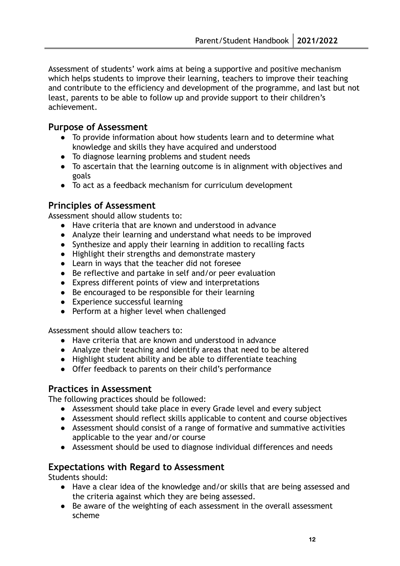Assessment of students' work aims at being a supportive and positive mechanism which helps students to improve their learning, teachers to improve their teaching and contribute to the efficiency and development of the programme, and last but not least, parents to be able to follow up and provide support to their children's achievement.

## **Purpose of Assessment**

- To provide information about how students learn and to determine what knowledge and skills they have acquired and understood
- To diagnose learning problems and student needs
- To ascertain that the learning outcome is in alignment with objectives and goals
- To act as a feedback mechanism for curriculum development

# **Principles of Assessment**

Assessment should allow students to:

- Have criteria that are known and understood in advance
- Analyze their learning and understand what needs to be improved
- Synthesize and apply their learning in addition to recalling facts
- Highlight their strengths and demonstrate mastery
- Learn in ways that the teacher did not foresee
- Be reflective and partake in self and/or peer evaluation
- Express different points of view and interpretations
- Be encouraged to be responsible for their learning
- Experience successful learning
- Perform at a higher level when challenged

Assessment should allow teachers to:

- Have criteria that are known and understood in advance
- Analyze their teaching and identify areas that need to be altered
- Highlight student ability and be able to differentiate teaching
- Offer feedback to parents on their child's performance

## **Practices in Assessment**

The following practices should be followed:

- Assessment should take place in every Grade level and every subject
- Assessment should reflect skills applicable to content and course objectives
- Assessment should consist of a range of formative and summative activities applicable to the year and/or course
- Assessment should be used to diagnose individual differences and needs

# **Expectations with Regard to Assessment**

Students should:

- Have a clear idea of the knowledge and/or skills that are being assessed and the criteria against which they are being assessed.
- Be aware of the weighting of each assessment in the overall assessment scheme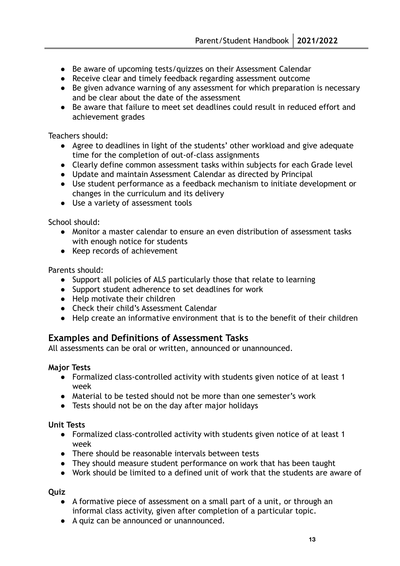- Be aware of upcoming tests/quizzes on their Assessment Calendar
- Receive clear and timely feedback regarding assessment outcome
- Be given advance warning of any assessment for which preparation is necessary and be clear about the date of the assessment
- Be aware that failure to meet set deadlines could result in reduced effort and achievement grades

Teachers should:

- Agree to deadlines in light of the students' other workload and give adequate time for the completion of out-of-class assignments
- Clearly define common assessment tasks within subjects for each Grade level
- Update and maintain Assessment Calendar as directed by Principal
- Use student performance as a feedback mechanism to initiate development or changes in the curriculum and its delivery
- Use a variety of assessment tools

School should:

- Monitor a master calendar to ensure an even distribution of assessment tasks with enough notice for students
- Keep records of achievement

Parents should:

- Support all policies of ALS particularly those that relate to learning
- Support student adherence to set deadlines for work
- Help motivate their children
- Check their child's Assessment Calendar
- Help create an informative environment that is to the benefit of their children

## **Examples and Definitions of Assessment Tasks**

All assessments can be oral or written, announced or unannounced.

#### **Major Tests**

- Formalized class-controlled activity with students given notice of at least 1 week
- Material to be tested should not be more than one semester's work
- Tests should not be on the day after major holidays

#### **Unit Tests**

- Formalized class-controlled activity with students given notice of at least 1 week
- There should be reasonable intervals between tests
- They should measure student performance on work that has been taught
- Work should be limited to a defined unit of work that the students are aware of

**Quiz**

- A formative piece of assessment on a small part of a unit, or through an informal class activity, given after completion of a particular topic.
- A quiz can be announced or unannounced.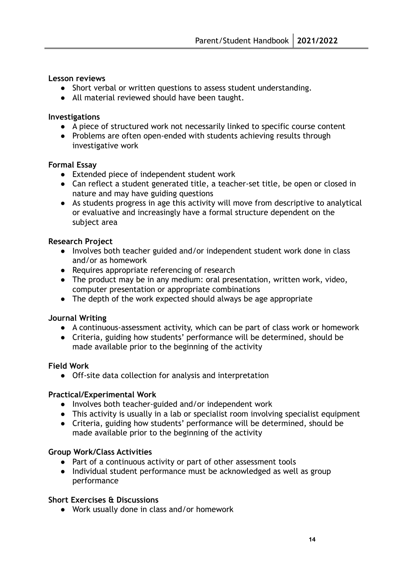#### **Lesson reviews**

- Short verbal or written questions to assess student understanding.
- All material reviewed should have been taught.

#### **Investigations**

- A piece of structured work not necessarily linked to specific course content
- Problems are often open-ended with students achieving results through investigative work

#### **Formal Essay**

- Extended piece of independent student work
- Can reflect a student generated title, a teacher-set title, be open or closed in nature and may have guiding questions
- As students progress in age this activity will move from descriptive to analytical or evaluative and increasingly have a formal structure dependent on the subject area

#### **Research Project**

- Involves both teacher guided and/or independent student work done in class and/or as homework
- Requires appropriate referencing of research
- The product may be in any medium: oral presentation, written work, video, computer presentation or appropriate combinations
- The depth of the work expected should always be age appropriate

#### **Journal Writing**

- A continuous-assessment activity, which can be part of class work or homework
- Criteria, guiding how students' performance will be determined, should be made available prior to the beginning of the activity

#### **Field Work**

● Off-site data collection for analysis and interpretation

#### **Practical/Experimental Work**

- Involves both teacher-guided and/or independent work
- This activity is usually in a lab or specialist room involving specialist equipment
- Criteria, guiding how students' performance will be determined, should be made available prior to the beginning of the activity

#### **Group Work/Class Activities**

- Part of a continuous activity or part of other assessment tools
- Individual student performance must be acknowledged as well as group performance

#### **Short Exercises & Discussions**

● Work usually done in class and/or homework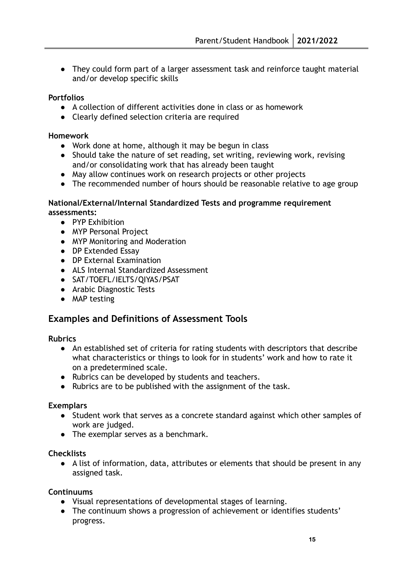● They could form part of a larger assessment task and reinforce taught material and/or develop specific skills

#### **Portfolios**

- A collection of different activities done in class or as homework
- Clearly defined selection criteria are required

#### **Homework**

- Work done at home, although it may be begun in class
- Should take the nature of set reading, set writing, reviewing work, revising and/or consolidating work that has already been taught
- May allow continues work on research projects or other projects
- The recommended number of hours should be reasonable relative to age group

#### **National/External/Internal Standardized Tests and programme requirement assessments:**

- PYP Exhibition
- MYP Personal Project
- MYP Monitoring and Moderation
- DP Extended Essay
- DP External Examination
- ALS Internal Standardized Assessment
- SAT/TOEFL/IELTS/QIYAS/PSAT
- Arabic Diagnostic Tests
- MAP testing

#### **Examples and Definitions of Assessment Tools**

#### **Rubrics**

- An established set of criteria for rating students with descriptors that describe what characteristics or things to look for in students' work and how to rate it on a predetermined scale.
- Rubrics can be developed by students and teachers.
- Rubrics are to be published with the assignment of the task.

#### **Exemplars**

- Student work that serves as a concrete standard against which other samples of work are judged.
- The exemplar serves as a benchmark.

#### **Checklists**

● A list of information, data, attributes or elements that should be present in any assigned task.

#### **Continuums**

- Visual representations of developmental stages of learning.
- The continuum shows a progression of achievement or identifies students' progress.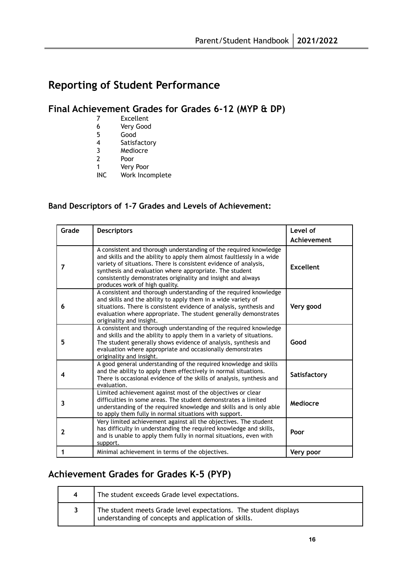# <span id="page-15-0"></span>**Reporting of Student Performance**

# <span id="page-15-1"></span>**Final Achievement Grades for Grades 6-12 (MYP & DP)**

- 7 Excellent
- 6 Very Good
- 5 Good
- 4 Satisfactory
- 3 Mediocre
- 2 Poor
- 1 Very Poor
- INC Work Incomplete

#### **Band Descriptors of 1-7 Grades and Levels of Achievement:**

| Grade        | <b>Descriptors</b>                                                                                                                                                                                                                                                                                                                                                          | Level of<br>Achievement |
|--------------|-----------------------------------------------------------------------------------------------------------------------------------------------------------------------------------------------------------------------------------------------------------------------------------------------------------------------------------------------------------------------------|-------------------------|
| 7            | A consistent and thorough understanding of the required knowledge<br>and skills and the ability to apply them almost faultlessly in a wide<br>variety of situations. There is consistent evidence of analysis,<br>synthesis and evaluation where appropriate. The student<br>consistently demonstrates originality and insight and always<br>produces work of high quality. | <b>Excellent</b>        |
| 6            | A consistent and thorough understanding of the required knowledge<br>and skills and the ability to apply them in a wide variety of<br>situations. There is consistent evidence of analysis, synthesis and<br>evaluation where appropriate. The student generally demonstrates<br>originality and insight.                                                                   | Very good               |
| 5            | A consistent and thorough understanding of the required knowledge<br>and skills and the ability to apply them in a variety of situations.<br>The student generally shows evidence of analysis, synthesis and<br>evaluation where appropriate and occasionally demonstrates<br>originality and insight.                                                                      | Good                    |
| 4            | A good general understanding of the required knowledge and skills<br>and the ability to apply them effectively in normal situations.<br>There is occasional evidence of the skills of analysis, synthesis and<br>evaluation.                                                                                                                                                | Satisfactory            |
| 3            | Limited achievement against most of the objectives or clear<br>difficulties in some areas. The student demonstrates a limited<br>understanding of the required knowledge and skills and is only able<br>to apply them fully in normal situations with support.                                                                                                              | Mediocre                |
| $\mathbf{2}$ | Very limited achievement against all the objectives. The student<br>has difficulty in understanding the required knowledge and skills,<br>and is unable to apply them fully in normal situations, even with<br>support.                                                                                                                                                     | Poor                    |
| 1            | Minimal achievement in terms of the objectives.                                                                                                                                                                                                                                                                                                                             | Very poor               |

# <span id="page-15-2"></span>**Achievement Grades for Grades K-5 (PYP)**

| The student exceeds Grade level expectations.                                                                            |
|--------------------------------------------------------------------------------------------------------------------------|
| The student meets Grade level expectations. The student displays<br>understanding of concepts and application of skills. |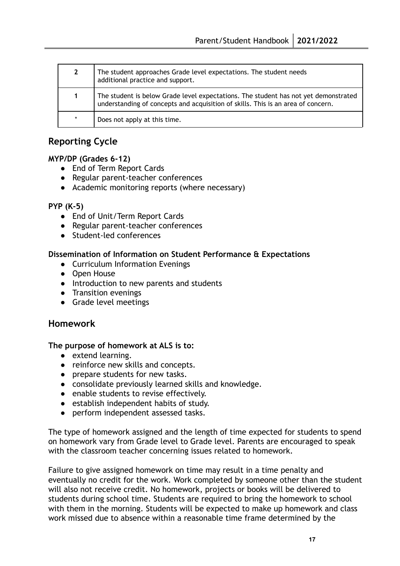| $\overline{2}$ | The student approaches Grade level expectations. The student needs<br>additional practice and support.                                                                  |
|----------------|-------------------------------------------------------------------------------------------------------------------------------------------------------------------------|
| 1.             | The student is below Grade level expectations. The student has not yet demonstrated<br>understanding of concepts and acquisition of skills. This is an area of concern. |
| $\star$        | Does not apply at this time.                                                                                                                                            |

# <span id="page-16-0"></span>**Reporting Cycle**

#### **MYP/DP (Grades 6-12)**

- End of Term Report Cards
- Regular parent-teacher conferences
- Academic monitoring reports (where necessary)

#### **PYP (K-5)**

- End of Unit/Term Report Cards
- Regular parent-teacher conferences
- Student-led conferences

#### **Dissemination of Information on Student Performance & Expectations**

- Curriculum Information Evenings
- Open House
- Introduction to new parents and students
- Transition evenings
- Grade level meetings

## <span id="page-16-1"></span>**Homework**

#### **The purpose of homework at ALS is to:**

- extend learning.
- reinforce new skills and concepts.
- prepare students for new tasks.
- consolidate previously learned skills and knowledge.
- enable students to revise effectively.
- establish independent habits of study.
- **●** perform independent assessed tasks.

The type of homework assigned and the length of time expected for students to spend on homework vary from Grade level to Grade level. Parents are encouraged to speak with the classroom teacher concerning issues related to homework.

Failure to give assigned homework on time may result in a time penalty and eventually no credit for the work. Work completed by someone other than the student will also not receive credit. No homework, projects or books will be delivered to students during school time. Students are required to bring the homework to school with them in the morning. Students will be expected to make up homework and class work missed due to absence within a reasonable time frame determined by the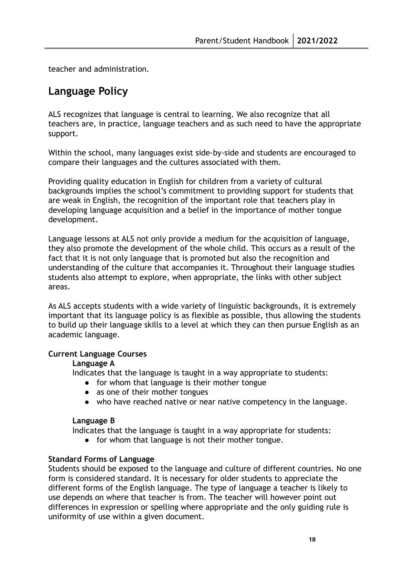teacher and administration.

# <span id="page-17-0"></span>**Language Policy**

ALS recognizes that language is central to learning. We also recognize that all teachers are, in practice, language teachers and as such need to have the appropriate support.

Within the school, many languages exist side-by-side and students are encouraged to compare their languages and the cultures associated with them.

Providing quality education in English for children from a variety of cultural backgrounds implies the school's commitment to providing support for students that are weak in English, the recognition of the important role that teachers play in developing language acquisition and a belief in the importance of mother tongue development.

Language lessons at ALS not only provide a medium for the acquisition of language, they also promote the development of the whole child. This occurs as a result of the fact that it is not only language that is promoted but also the recognition and understanding of the culture that accompanies it. Throughout their language studies students also attempt to explore, when appropriate, the links with other subject areas.

As ALS accepts students with a wide variety of linguistic backgrounds, it is extremely important that its language policy is as flexible as possible, thus allowing the students to build up their language skills to a level at which they can then pursue English as an academic language.

#### **Current Language Courses**

#### **Language A**

Indicates that the language is taught in a way appropriate to students:

- for whom that language is their mother tongue
- as one of their mother tongues
- who have reached native or near native competency in the language.

#### **Language B**

Indicates that the language is taught in a way appropriate for students:

● for whom that language is not their mother tongue.

#### **Standard Forms of Language**

Students should be exposed to the language and culture of different countries. No one form is considered standard. It is necessary for older students to appreciate the different forms of the English language. The type of language a teacher is likely to use depends on where that teacher is from. The teacher will however point out differences in expression or spelling where appropriate and the only guiding rule is uniformity of use within a given document.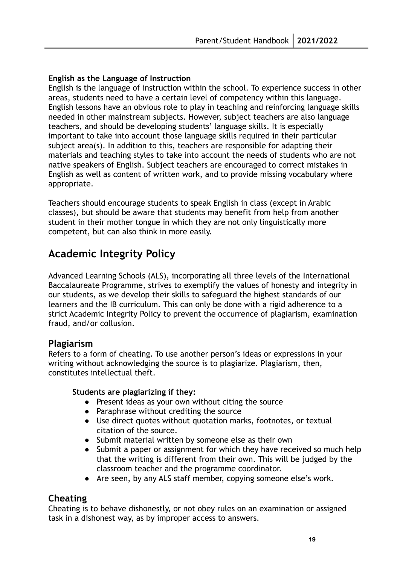#### **English as the Language of Instruction**

English is the language of instruction within the school. To experience success in other areas, students need to have a certain level of competency within this language. English lessons have an obvious role to play in teaching and reinforcing language skills needed in other mainstream subjects. However, subject teachers are also language teachers, and should be developing students' language skills. It is especially important to take into account those language skills required in their particular subject area(s). In addition to this, teachers are responsible for adapting their materials and teaching styles to take into account the needs of students who are not native speakers of English. Subject teachers are encouraged to correct mistakes in English as well as content of written work, and to provide missing vocabulary where appropriate.

Teachers should encourage students to speak English in class (except in Arabic classes), but should be aware that students may benefit from help from another student in their mother tongue in which they are not only linguistically more competent, but can also think in more easily.

# <span id="page-18-0"></span>**Academic Integrity Policy**

Advanced Learning Schools (ALS), incorporating all three levels of the International Baccalaureate Programme, strives to exemplify the values of honesty and integrity in our students, as we develop their skills to safeguard the highest standards of our learners and the IB curriculum. This can only be done with a rigid adherence to a strict Academic Integrity Policy to prevent the occurrence of plagiarism, examination fraud, and/or collusion.

## **Plagiarism**

Refers to a form of cheating. To use another person's ideas or expressions in your writing without acknowledging the source is to plagiarize. Plagiarism, then, constitutes intellectual theft.

#### **Students are plagiarizing if they:**

- Present ideas as your own without citing the source
- Paraphrase without crediting the source
- Use direct quotes without quotation marks, footnotes, or textual citation of the source.
- Submit material written by someone else as their own
- Submit a paper or assignment for which they have received so much help that the writing is different from their own. This will be judged by the classroom teacher and the programme coordinator.
- Are seen, by any ALS staff member, copying someone else's work.

# **Cheating**

Cheating is to behave dishonestly, or not obey rules on an examination or assigned task in a dishonest way, as by improper access to answers.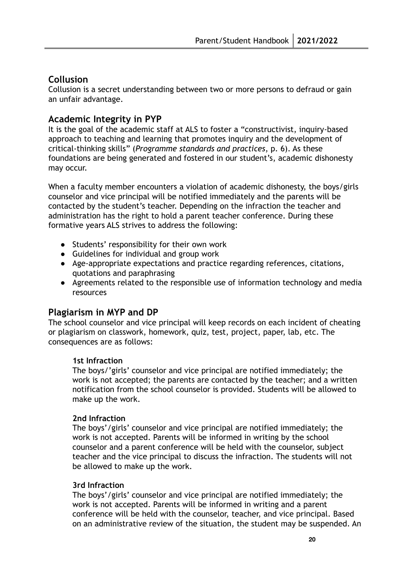# **Collusion**

Collusion is a secret understanding between two or more persons to defraud or gain an unfair advantage.

## **Academic Integrity in PYP**

It is the goal of the academic staff at ALS to foster a "constructivist, inquiry-based approach to teaching and learning that promotes inquiry and the development of critical-thinking skills" (*Programme standards and practices*, p. 6). As these foundations are being generated and fostered in our student's, academic dishonesty may occur.

When a faculty member encounters a violation of academic dishonesty, the boys/girls counselor and vice principal will be notified immediately and the parents will be contacted by the student's teacher. Depending on the infraction the teacher and administration has the right to hold a parent teacher conference. During these formative years ALS strives to address the following:

- Students' responsibility for their own work
- Guidelines for individual and group work
- Age-appropriate expectations and practice regarding references, citations, quotations and paraphrasing
- Agreements related to the responsible use of information technology and media resources

# **Plagiarism in MYP and DP**

The school counselor and vice principal will keep records on each incident of cheating or plagiarism on classwork, homework, quiz, test, project, paper, lab, etc. The consequences are as follows:

#### **1st Infraction**

The boys/'girls' counselor and vice principal are notified immediately; the work is not accepted; the parents are contacted by the teacher; and a written notification from the school counselor is provided. Students will be allowed to make up the work.

#### **2nd Infraction**

The boys'/girls' counselor and vice principal are notified immediately; the work is not accepted. Parents will be informed in writing by the school counselor and a parent conference will be held with the counselor, subject teacher and the vice principal to discuss the infraction. The students will not be allowed to make up the work.

#### **3rd Infraction**

The boys'/girls' counselor and vice principal are notified immediately; the work is not accepted. Parents will be informed in writing and a parent conference will be held with the counselor, teacher, and vice principal. Based on an administrative review of the situation, the student may be suspended. An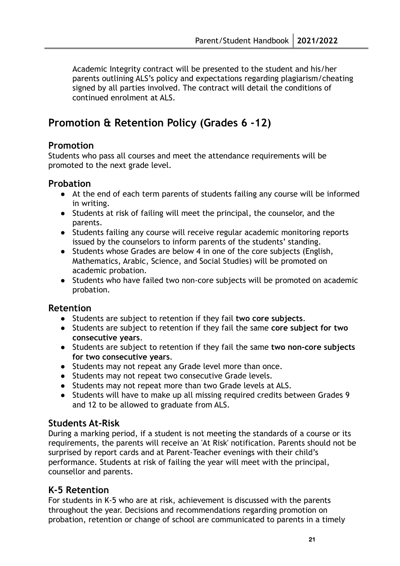Academic Integrity contract will be presented to the student and his/her parents outlining ALS's policy and expectations regarding plagiarism/cheating signed by all parties involved. The contract will detail the conditions of continued enrolment at ALS.

# <span id="page-20-0"></span>**Promotion & Retention Policy (Grades 6 -12)**

## **Promotion**

Students who pass all courses and meet the attendance requirements will be promoted to the next grade level.

# **Probation**

- At the end of each term parents of students failing any course will be informed in writing.
- Students at risk of failing will meet the principal, the counselor, and the parents.
- Students failing any course will receive regular academic monitoring reports issued by the counselors to inform parents of the students' standing.
- Students whose Grades are below 4 in one of the core subjects (English, Mathematics, Arabic, Science, and Social Studies) will be promoted on academic probation.
- Students who have failed two non-core subjects will be promoted on academic probation.

## **Retention**

- Students are subject to retention if they fail **two core subjects**.
- Students are subject to retention if they fail the same **core subject for two consecutive years**.
- Students are subject to retention if they fail the same **two non-core subjects for two consecutive years**.
- Students may not repeat any Grade level more than once.
- Students may not repeat two consecutive Grade levels.
- Students may not repeat more than two Grade levels at ALS.
- Students will have to make up all missing required credits between Grades 9 and 12 to be allowed to graduate from ALS.

## **Students At-Risk**

During a marking period, if a student is not meeting the standards of a course or its requirements, the parents will receive an 'At Risk' notification. Parents should not be surprised by report cards and at Parent-Teacher evenings with their child's performance. Students at risk of failing the year will meet with the principal, counsellor and parents.

# **K-5 Retention**

For students in K-5 who are at risk, achievement is discussed with the parents throughout the year. Decisions and recommendations regarding promotion on probation, retention or change of school are communicated to parents in a timely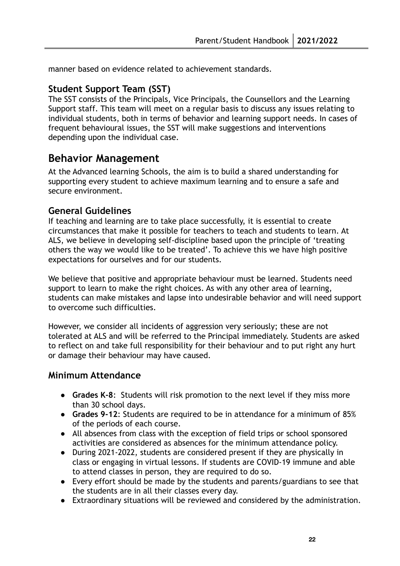manner based on evidence related to achievement standards.

# **Student Support Team (SST)**

The SST consists of the Principals, Vice Principals, the Counsellors and the Learning Support staff. This team will meet on a regular basis to discuss any issues relating to individual students, both in terms of behavior and learning support needs. In cases of frequent behavioural issues, the SST will make suggestions and interventions depending upon the individual case.

# <span id="page-21-0"></span>**Behavior Management**

At the Advanced learning Schools, the aim is to build a shared understanding for supporting every student to achieve maximum learning and to ensure a safe and secure environment.

# <span id="page-21-1"></span>**General Guidelines**

If teaching and learning are to take place successfully, it is essential to create circumstances that make it possible for teachers to teach and students to learn. At ALS, we believe in developing self-discipline based upon the principle of 'treating others the way we would like to be treated'. To achieve this we have high positive expectations for ourselves and for our students.

We believe that positive and appropriate behaviour must be learned. Students need support to learn to make the right choices. As with any other area of learning, students can make mistakes and lapse into undesirable behavior and will need support to overcome such difficulties.

However, we consider all incidents of aggression very seriously; these are not tolerated at ALS and will be referred to the Principal immediately. Students are asked to reflect on and take full responsibility for their behaviour and to put right any hurt or damage their behaviour may have caused.

## <span id="page-21-2"></span>**Minimum Attendance**

- **Grades K-8**: Students will risk promotion to the next level if they miss more than 30 school days.
- **Grades 9-12**: Students are required to be in attendance for a minimum of 85% of the periods of each course.
- All absences from class with the exception of field trips or school sponsored activities are considered as absences for the minimum attendance policy.
- During 2021-2022, students are considered present if they are physically in class or engaging in virtual lessons. If students are COVID-19 immune and able to attend classes in person, they are required to do so.
- Every effort should be made by the students and parents/guardians to see that the students are in all their classes every day.
- Extraordinary situations will be reviewed and considered by the administration.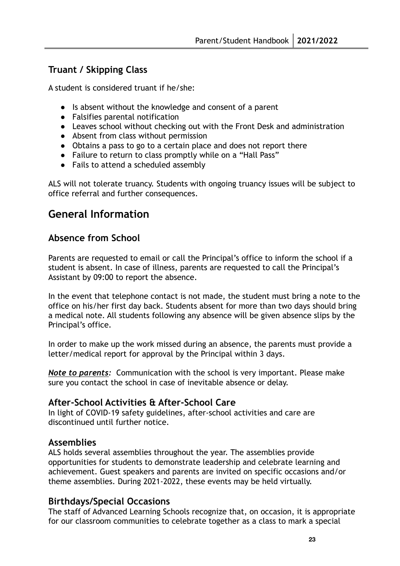# <span id="page-22-0"></span>**Truant / Skipping Class**

A student is considered truant if he/she:

- Is absent without the knowledge and consent of a parent
- Falsifies parental notification
- Leaves school without checking out with the Front Desk and administration
- Absent from class without permission
- Obtains a pass to go to a certain place and does not report there
- Failure to return to class promptly while on a "Hall Pass"
- Fails to attend a scheduled assembly

ALS will not tolerate truancy. Students with ongoing truancy issues will be subject to office referral and further consequences.

# <span id="page-22-1"></span>**General Information**

# <span id="page-22-2"></span>**Absence from School**

Parents are requested to email or call the Principal's office to inform the school if a student is absent. In case of illness, parents are requested to call the Principal's Assistant by 09:00 to report the absence.

In the event that telephone contact is not made, the student must bring a note to the office on his/her first day back. Students absent for more than two days should bring a medical note. All students following any absence will be given absence slips by the Principal's office.

In order to make up the work missed during an absence, the parents must provide a letter/medical report for approval by the Principal within 3 days.

*Note to parents:* Communication with the school is very important. Please make sure you contact the school in case of inevitable absence or delay.

# <span id="page-22-3"></span>**After-School Activities & After-School Care**

In light of COVID-19 safety guidelines, after-school activities and care are discontinued until further notice.

# <span id="page-22-4"></span>**Assemblies**

ALS holds several assemblies throughout the year. The assemblies provide opportunities for students to demonstrate leadership and celebrate learning and achievement. Guest speakers and parents are invited on specific occasions and/or theme assemblies. During 2021-2022, these events may be held virtually.

# <span id="page-22-5"></span>**Birthdays/Special Occasions**

The staff of Advanced Learning Schools recognize that, on occasion, it is appropriate for our classroom communities to celebrate together as a class to mark a special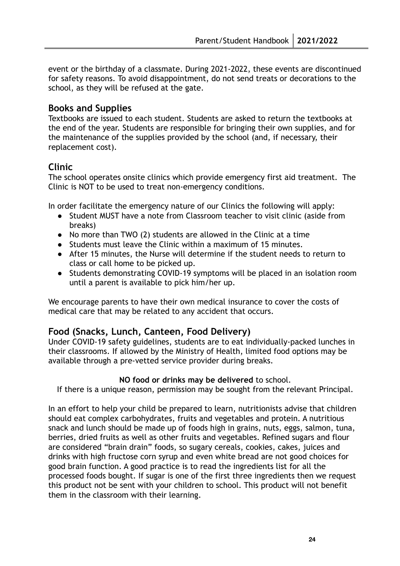event or the birthday of a classmate. During 2021-2022, these events are discontinued for safety reasons. To avoid disappointment, do not send treats or decorations to the school, as they will be refused at the gate.

#### <span id="page-23-0"></span>**Books and Supplies**

Textbooks are issued to each student. Students are asked to return the textbooks at the end of the year. Students are responsible for bringing their own supplies, and for the maintenance of the supplies provided by the school (and, if necessary, their replacement cost).

#### <span id="page-23-1"></span>**Clinic**

The school operates onsite clinics which provide emergency first aid treatment. The Clinic is NOT to be used to treat non-emergency conditions.

In order facilitate the emergency nature of our Clinics the following will apply:

- Student MUST have a note from Classroom teacher to visit clinic (aside from breaks)
- No more than TWO (2) students are allowed in the Clinic at a time
- Students must leave the Clinic within a maximum of 15 minutes.
- After 15 minutes, the Nurse will determine if the student needs to return to class or call home to be picked up.
- Students demonstrating COVID-19 symptoms will be placed in an isolation room until a parent is available to pick him/her up.

We encourage parents to have their own medical insurance to cover the costs of medical care that may be related to any accident that occurs.

#### <span id="page-23-2"></span>**Food (Snacks, Lunch, Canteen, Food Delivery)**

Under COVID-19 safety guidelines, students are to eat individually-packed lunches in their classrooms. If allowed by the Ministry of Health, limited food options may be available through a pre-vetted service provider during breaks.

#### **NO food or drinks may be delivered** to school.

If there is a unique reason, permission may be sought from the relevant Principal.

In an effort to help your child be prepared to learn, nutritionists advise that children should eat complex carbohydrates, fruits and vegetables and protein. A nutritious snack and lunch should be made up of foods high in grains, nuts, eggs, salmon, tuna, berries, dried fruits as well as other fruits and vegetables. Refined sugars and flour are considered "brain drain" foods, so sugary cereals, cookies, cakes, juices and drinks with high fructose corn syrup and even white bread are not good choices for good brain function. A good practice is to read the ingredients list for all the processed foods bought. If sugar is one of the first three ingredients then we request this product not be sent with your children to school. This product will not benefit them in the classroom with their learning.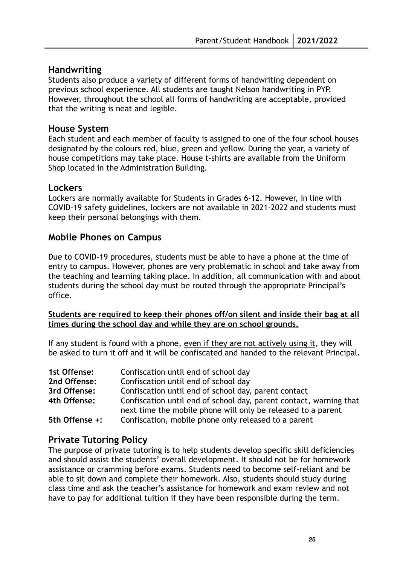## <span id="page-24-0"></span>**Handwriting**

Students also produce a variety of different forms of handwriting dependent on previous school experience. All students are taught Nelson handwriting in PYP. However, throughout the school all forms of handwriting are acceptable, provided that the writing is neat and legible.

#### <span id="page-24-1"></span>**House System**

Each student and each member of faculty is assigned to one of the four school houses designated by the colours red, blue, green and yellow. During the year, a variety of house competitions may take place. House t-shirts are available from the Uniform Shop located in the Administration Building.

#### <span id="page-24-2"></span>**Lockers**

Lockers are normally available for Students in Grades 6-12. However, in line with COVID-19 safety guidelines, lockers are not available in 2021-2022 and students must keep their personal belongings with them.

#### <span id="page-24-3"></span>**Mobile Phones on Campus**

Due to COVID-19 procedures, students must be able to have a phone at the time of entry to campus. However, phones are very problematic in school and take away from the teaching and learning taking place. In addition, all communication with and about students during the school day must be routed through the appropriate Principal's office.

#### **Students are required to keep their phones off/on silent and inside their bag at all times during the school day and while they are on school grounds.**

If any student is found with a phone, even if they are not actively using it, they will be asked to turn it off and it will be confiscated and handed to the relevant Principal.

| 1st Offense:   | Confiscation until end of school day                                                                                               |
|----------------|------------------------------------------------------------------------------------------------------------------------------------|
| 2nd Offense:   | Confiscation until end of school day                                                                                               |
| 3rd Offense:   | Confiscation until end of school day, parent contact                                                                               |
| 4th Offense:   | Confiscation until end of school day, parent contact, warning that<br>next time the mobile phone will only be released to a parent |
| 5th Offense +: | Confiscation, mobile phone only released to a parent                                                                               |

## <span id="page-24-4"></span>**Private Tutoring Policy**

The purpose of private tutoring is to help students develop specific skill deficiencies and should assist the students' overall development. It should not be for homework assistance or cramming before exams. Students need to become self-reliant and be able to sit down and complete their homework. Also, students should study during class time and ask the teacher's assistance for homework and exam review and not have to pay for additional tuition if they have been responsible during the term.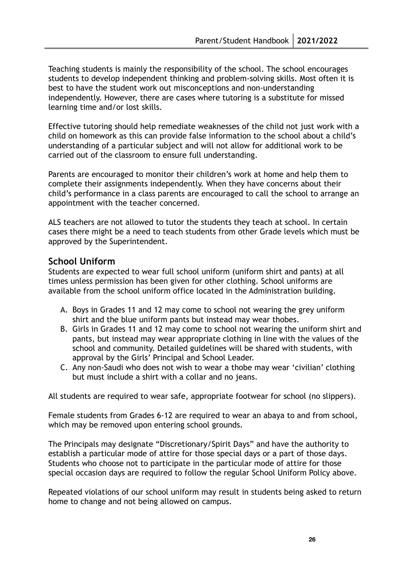Teaching students is mainly the responsibility of the school. The school encourages students to develop independent thinking and problem-solving skills. Most often it is best to have the student work out misconceptions and non-understanding independently. However, there are cases where tutoring is a substitute for missed learning time and/or lost skills.

Effective tutoring should help remediate weaknesses of the child not just work with a child on homework as this can provide false information to the school about a child's understanding of a particular subject and will not allow for additional work to be carried out of the classroom to ensure full understanding.

Parents are encouraged to monitor their children's work at home and help them to complete their assignments independently. When they have concerns about their child's performance in a class parents are encouraged to call the school to arrange an appointment with the teacher concerned.

ALS teachers are not allowed to tutor the students they teach at school. In certain cases there might be a need to teach students from other Grade levels which must be approved by the Superintendent.

## <span id="page-25-0"></span>**School Uniform**

Students are expected to wear full school uniform (uniform shirt and pants) at all times unless permission has been given for other clothing. School uniforms are available from the school uniform office located in the Administration building.

- A. Boys in Grades 11 and 12 may come to school not wearing the grey uniform shirt and the blue uniform pants but instead may wear thobes.
- B. Girls in Grades 11 and 12 may come to school not wearing the uniform shirt and pants, but instead may wear appropriate clothing in line with the values of the school and community. Detailed guidelines will be shared with students, with approval by the Girls' Principal and School Leader.
- C. Any non-Saudi who does not wish to wear a thobe may wear 'civilian' clothing but must include a shirt with a collar and no jeans.

All students are required to wear safe, appropriate footwear for school (no slippers).

Female students from Grades 6-12 are required to wear an abaya to and from school, which may be removed upon entering school grounds.

The Principals may designate "Discretionary/Spirit Days" and have the authority to establish a particular mode of attire for those special days or a part of those days. Students who choose not to participate in the particular mode of attire for those special occasion days are required to follow the regular School Uniform Policy above.

Repeated violations of our school uniform may result in students being asked to return home to change and not being allowed on campus.